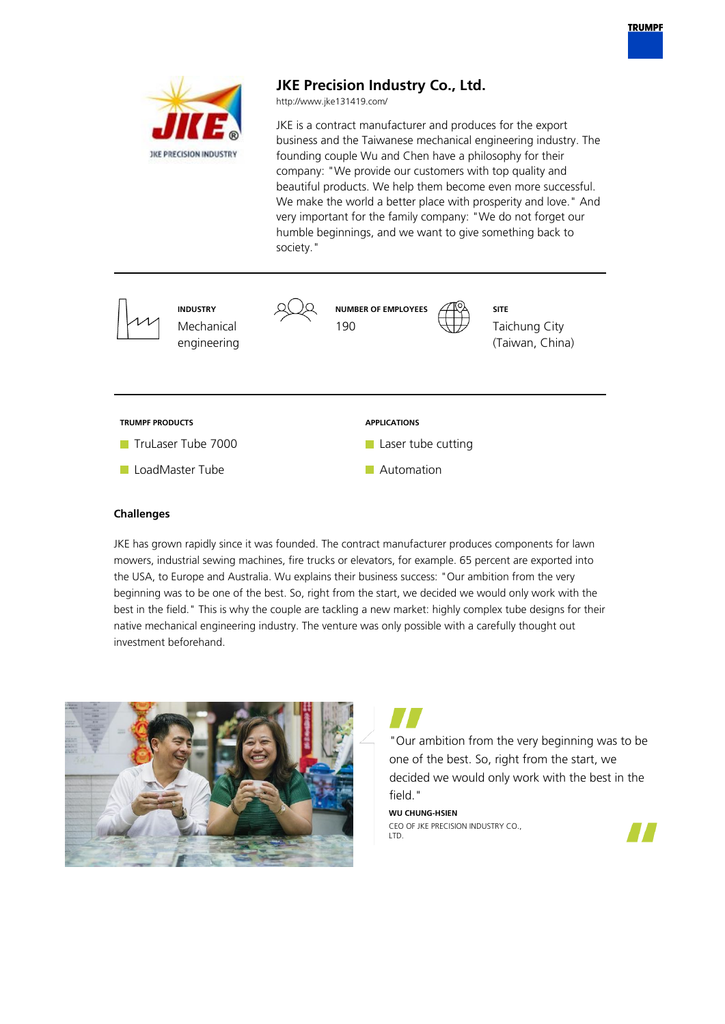

# **Challenges**

JKE has grown rapidly since it was founded. The contract manufacturer produces components for lawn mowers, industrial sewing machines, fire trucks or elevators, for example. 65 percent are exported into the USA, to Europe and Australia. Wu explains their business success: "Our ambition from the very beginning was to be one of the best. So, right from the start, we decided we would only work with the best in the field." This is why the couple are tackling a new market: highly complex tube designs for their native mechanical engineering industry. The venture was only possible with a carefully thought out investment beforehand.



"Our ambition from the very beginning was to be one of the best. So, right from the start, we decided we would only work with the best in the field."

**WU CHUNG-HSIEN** CEO OF JKE PRECISION INDUSTRY CO., LTD.

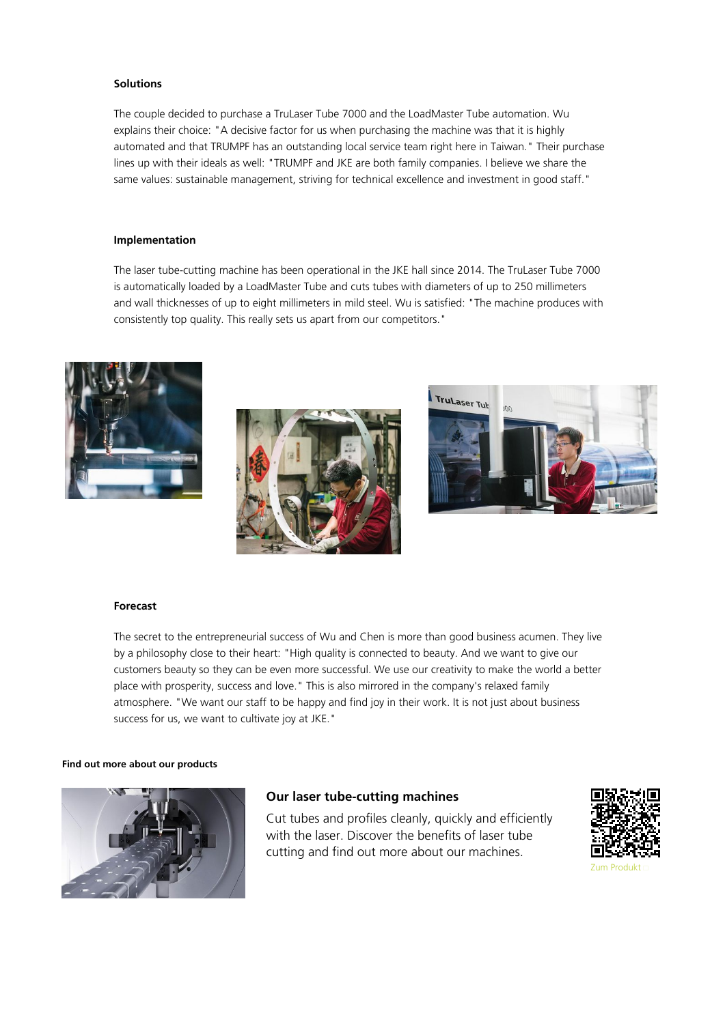### **Solutions**

The couple decided to purchase a TruLaser Tube 7000 and the LoadMaster Tube automation. Wu explains their choice: "A decisive factor for us when purchasing the machine was that it is highly automated and that TRUMPF has an outstanding local service team right here in Taiwan." Their purchase lines up with their ideals as well: "TRUMPF and JKE are both family companies. I believe we share the same values: sustainable management, striving for technical excellence and investment in good staff."

#### **Implementation**

The laser tube-cutting machine has been operational in the JKE hall since 2014. The TruLaser Tube 7000 is automatically loaded by a LoadMaster Tube and cuts tubes with diameters of up to 250 millimeters and wall thicknesses of up to eight millimeters in mild steel. Wu is satisfied: "The machine produces with consistently top quality. This really sets us apart from our competitors."







### **Forecast**

The secret to the entrepreneurial success of Wu and Chen is more than good business acumen. They live by a philosophy close to their heart: "High quality is connected to beauty. And we want to give our customers beauty so they can be even more successful. We use our creativity to make the world a better place with prosperity, success and love." This is also mirrored in the company's relaxed family atmosphere. "We want our staff to be happy and find joy in their work. It is not just about business success for us, we want to cultivate joy at JKE."

#### **Find out more about our products**



# **Our laser tube-cutting machines**

Cut tubes and profiles cleanly, quickly and efficiently with the laser. Discover the benefits of laser tube cutting and find out more about our machines.